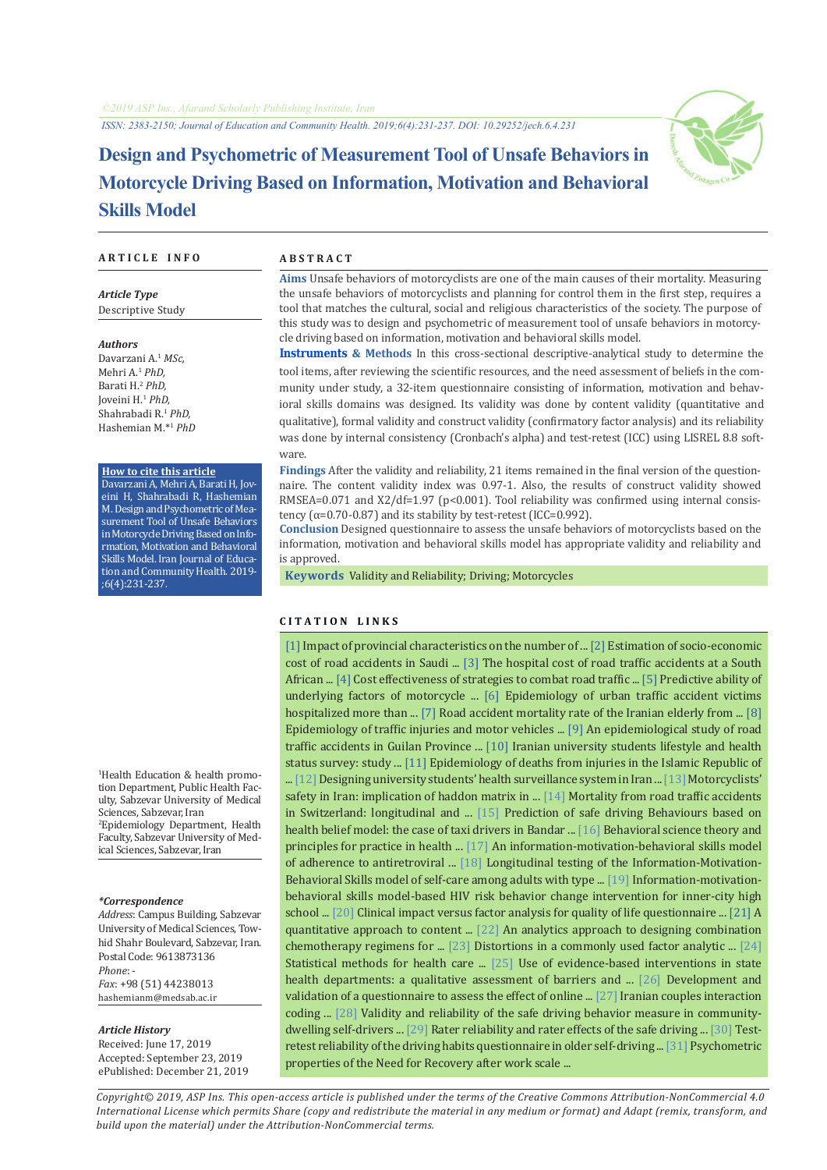

# **Design and Psychometric of Measurement Tool of Unsafe Behaviors in Motorcycle Driving Based on Information, Motivation and Behavioral Skills Model**

#### **A R T I C L E I N F O A B S T R A C T**

*Article Type* Descriptive Study

*Authors*

Davarzani A.<sup>1</sup> *MSc,* Mehri A.1  *PhD,* Barati H.<sup>2</sup> *PhD,* Joveini H.1 *PhD,* Shahrabadi R.<sup>1</sup> *PhD,* Hashemian M.\*<sup>1</sup>  *PhD*

#### **How to cite this article**

Davarzani A, Mehri A, Barati H, Joveini H, Shahrabadi R, Hashemian M. Design and Psychometric of Measurement Tool of Unsafe Behaviors in Motorcycle Driving Based on Information, Motivation and Behavioral Skills Model. Iran Journal of Education and Community Health. 2019-;6(4):231-237.

1 Health Education & health promotion Department, Public Health Faculty, Sabzevar University of Medical Sciences, Sabzevar, Iran

2 Epidemiology Department, Health Faculty, Sabzevar University of Medical Sciences, Sabzevar, Iran

#### *\*Correspondence*

*Address*: Campus Building, Sabzevar University of Medical Sciences, Towhid Shahr Boulevard, Sabzevar, Iran. Postal Code: 9613873136 *Phone*: -

*Fax*: +98 (51) 44238013 hashemianm@medsab.ac.ir

#### *Article History*

Received: June 17, 2019 Accepted: September 23, 2019 ePublished: December 21, 2019

**Aims** Unsafe behaviors of motorcyclists are one of the main causes of their mortality. Measuring the unsafe behaviors of motorcyclists and planning for control them in the first step, requires a tool that matches the cultural, social and religious characteristics of the society. The purpose of this study was to design and psychometric of measurement tool of unsafe behaviors in motorcycle driving based on information, motivation and behavioral skills model.

**Instruments & Methods** In this cross-sectional descriptive-analytical study to determine the tool items, after reviewing the scientific resources, and the need assessment of beliefs in the community under study, a 32-item questionnaire consisting of information, motivation and behavioral skills domains was designed. Its validity was done by content validity (quantitative and qualitative), formal validity and construct validity (confirmatory factor analysis) and its reliability was done by internal consistency (Cronbach's alpha) and test-retest (ICC) using LISREL 8.8 software.

**Findings** After the validity and reliability, 21 items remained in the final version of the questionnaire. The content validity index was 0.97-1. Also, the results of construct validity showed RMSEA=0.071 and X2/df=1.97 (p<0.001). Tool reliability was confirmed using internal consistency  $(\alpha=0.70-0.87)$  and its stability by test-retest (ICC=0.992).

**Conclusion** Designed questionnaire to assess the unsafe behaviors of motorcyclists based on the information, motivation and behavioral skills model has appropriate validity and reliability and is approved.

 **Keywords** [Validity and Reliability;](https://www.ncbi.nlm.nih.gov/mesh/68015203) [Driving;](https://www.ncbi.nlm.nih.gov/mesh/68001334) [Motorcycles](https://www.ncbi.nlm.nih.gov/mesh/68009049)

## **C I T A T I O N L I N K S**

[[1\]](https://www.sciencedirect.com/science/article/abs/pii/S0001457518300721) Impact of provincial characteristics on the number of ... [\[2](https://ideas.repec.org/a/spt/admaec/v5y2015i3f5_3_5.html)] Estimation of socio-economic cost of road accidents in Saudi ... [[3\]](https://www.ncbi.nlm.nih.gov/pubmed/23731494) The hospital cost of road traffic accidents at a South African ... [\[4\]](https://www.bmj.com/content/344/bmj.e612) Cost effectiveness of strategies to combat road traffic ... [\[5](https://www.ncbi.nlm.nih.gov/pubmed/29085801)] Predictive ability of underlying factors of motorcycle ... [[6\]](https://www.ncbi.nlm.nih.gov/pubmed/26101765) Epidemiology of urban traffic accident victims hospitalized more than ... [\[7](http://salmandj.uswr.ac.ir/article-1-485-fa.html)] Road accident mortality rate of the Iranian elderly from ... [[8\]](https://www.ncbi.nlm.nih.gov/pubmed/21693056) Epidemiology of traffic injuries and motor vehicles ... [\[9](https://www.ncbi.nlm.nih.gov/pubmed/27878129)] An epidemiological study of road traffic accidents in Guilan Province ... [\[10](https://www.ncbi.nlm.nih.gov/pubmed/29270393)] Iranian university students lifestyle and health status survey: study ... [\[11](https://www.ncbi.nlm.nih.gov/pubmed/17037707)] Epidemiology of deaths from injuries in the Islamic Republic of ... [\[12](https://www.ncbi.nlm.nih.gov/pubmed/25400682)] Designing university students' health surveillance system in Iran ... [\[13](https://www.ncbi.nlm.nih.gov/pubmed/25250278)] Motorcyclists' safety in Iran: implication of haddon matrix in ... [\[14](https://www.ncbi.nlm.nih.gov/pubmed/21094295)] Mortality from road traffic accidents in Switzerland: longitudinal and ... [[15\]](https://www.ncbi.nlm.nih.gov/pubmed/29558924) Prediction of safe driving Behaviours based on health belief model: the case of taxi drivers in Bandar ... [[16](https://academic.oup.com/her/article/12/1/143/811195)] Behavioral science theory and principles for practice in health ... [[17\]](https://www.ncbi.nlm.nih.gov/pubmed/16846321) An information-motivation-behavioral skills model of adherence to antiretroviral ... [\[18](https://www.ncbi.nlm.nih.gov/pubmed/27373961)] Longitudinal testing of the Information-Motivation-Behavioral Skills model of self-care among adults with type ... [[19](https://www.ncbi.nlm.nih.gov/pubmed/11950108)] Information-motivationbehavioral skills model-based HIV risk behavior change intervention for inner-city high school ... [\[20](https://www.ncbi.nlm.nih.gov/pubmed/9120521)] Clinical impact versus factor analysis for quality of life questionnaire ... [\[21](https://onlinelibrary.wiley.com/doi/abs/10.1111/j.1744-6570.1975.tb01393.x)] A quantitative approach to content ... [[22](https://pubsonline.informs.org/doi/10.1287/mnsc.2015.2363)] An analytics approach to designing combination chemotherapy regimens for ... [\[23\]](https://www.ncbi.nlm.nih.gov/pubmed/26821852) Distortions in a commonly used factor analytic ... [[24\]](https://books.google.com/books?id=a34z_Ah2-LgC&printsec=frontcover&dq) Statistical methods for health care ... [[25\]](https://www.ncbi.nlm.nih.gov/pubmed/20885175) Use of evidence-based interventions in state health departments: a qualitative assessment of barriers and ... [\[26](https://nsuworks.nova.edu/ijahsp/vol11/iss2/7/)] Development and validation of a questionnaire to assess the effect of online ... [\[27\]](http://jfr.sbu.ac.ir/article/view/118) Iranian couples interaction coding ... [[28](https://www.ncbi.nlm.nih.gov/pubmed/27313389)] Validity and reliability of the safe driving behavior measure in communitydwelling self-drivers ... [[29\]](https://www.ncbi.nlm.nih.gov/pubmed/22389941) Rater reliability and rater effects of the safe driving ... [[30](https://www.ncbi.nlm.nih.gov/pubmed/26696745)] Test-retest reliability of the driving habits questionnaire in older self-driving ... [[31](https://www.ncbi.nlm.nih.gov/pubmed/16497863)] Psychometric properties of the Need for Recovery after work scale ...

*Copyright© 2019, ASP Ins. This open-access article is published under the terms of the Creative Commons Attribution-NonCommercial 4.0 International License which permits Share (copy and redistribute the material in any medium or format) and Adapt (remix, transform, and build upon the material) under the Attribution-NonCommercial terms.*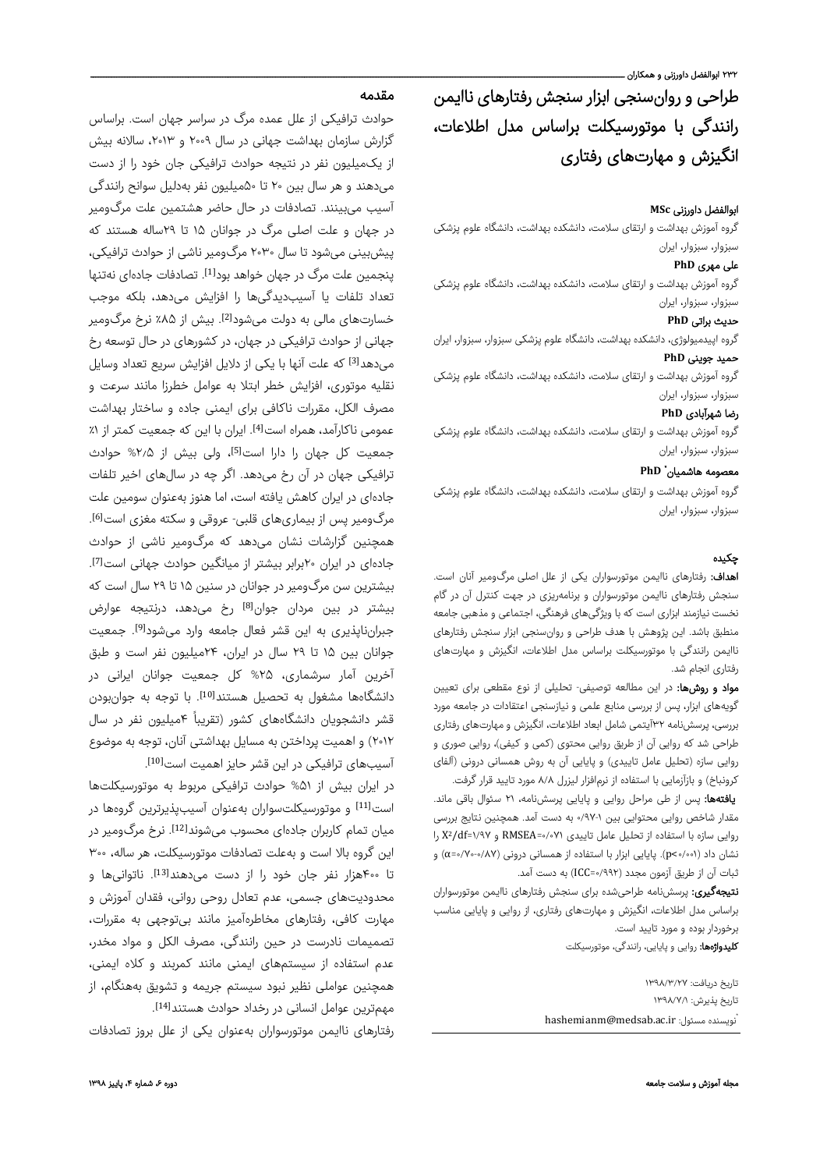طراحی و روانسنجی ابزار سنجش رفتارهای ناایمن رانندگی با موتورسیکلت براساس مدل اطلاعات، انگیزش و مهارتهای رفتار ی

## ابوالفضل داورزنی **MSc**

گروه آموزش بهداشت و ارتقای سلامت، دانشکده بهداشت، دانشگاه علوم پزشکی سبزوار، سبزوار، ایران

## علی مهر ی **PhD**

گروه آموزش بهداشت و ارتقای سلامت، دانشکده بهداشت، دانشگاه علوم پزشکی سبزوار، سبزوار، ایران

## حدیث براتی **PhD**

گروه اپیدمیولوژی، دانشکده بهداشت، دانشگاه علوم پزشکی سبزوار، سبزوار، ایران حمید جوینی **PhD**

گروه آموزش بهداشت و ارتقای سلامت، دانشکده بهداشت، دانشگاه علوم پزشکی سبزوار، سبزوار، ایران

## رضا شهرآبادی **PhD**

گروه آموزش بهداشت و ارتقای سلامت، دانشکده بهداشت، دانشگاه علوم پزشکی سبزوار، سبزوار، ایران

## **PhD** \* معصومه هاشمیان

گروه آموزش بهداشت و ارتقای سلامت، دانشکده بهداشت، دانشگاه علوم پزشکی سبزوار، سبزوار، ایران

## چکيده

اهداف: رفتارهای ناایمن موتورسواران یکی از علل اصلی مرگومیر آنان است. سنجش رفتارهای ناایمن موتورسواران و برنامهریزی در جهت کنترل آن در گام نخست نیازمند ابزاری است که با ویژگیهای فرهنگی، اجتماعی و مذهبی جامعه منطبق باشد. این پژوهش با هدف طراحی و روانسنجی ابزار سنجش رفتارهای ناایمن رانندگی با موتورسیکلت براساس مدل اطلاعات، انگیزش و مهارتهای رفتاری انجام شد.

مواد و روشها: در این مطالعه توصیفی- تحلیلی از نوع مقطعی برای تعیین گویههای ابزار، پس از بررسی منابع علمی و نیازسنجی اعتقادات در جامعه مورد بررسی، پرسشنامه ۳۲آیتمی شامل ابعاد اطلاعات، انگیزش و مهارتهای رفتاری طراحی شد که روایی آن از طریق روایی محتوی (کمی و کیفی)، روایی صوری و روایی سازه (تحلیل عامل تاییدی) و پایایی آن به روش همسانی درونی (آلفای کرونباخ) و بازآزمایی با استفاده از نرمافزار لیزرل ۸/۸ مورد تایید قرار گرفت.

یافتهها: پس از طی مراحل روايی و پايايی پرسشنامه، ۲۱ سئوال باقی ماند. مقدار شاخص روايی محتوایی بین ۰/۹۷-۱ به دست آمد. همچنین نتایج بررسی را 2X روایی سازه با استفاده از تحلیل عامل تاییدی ۰/۰۷۱=RMSEA و ۱/۹۷=df/ نشان داد (۰/۰۰۱>p(. پایایی ابزار با استفاده از همسانی درونی (۰/۷۰-۰/۸۷=α (و ثبات آن از طریق آزمون مجدد (۰/۹۹۲=ICC (به دست آمد.

**نتیجهگیری:** پرسشنامه طراحیشده برای سنجش رفتارهای ناایمن موتورسواران براساس مدل اطلاعات، انگیزش و مهارتهای رفتاری، از روایی و پایایی مناسب برخوردار بوده و مورد تایید است.

کلیدواژهها: روایی و پایایی، رانندگی، موتورسیکلت

تاريخ دريافت: ۱۳۹۸/۳/۲۷ تاريخ پذيرش: ۱۳۹۸/۷/۱ hashemianm@medsab.ac.ir :نويسنده مسئول

## مقدمه

حوادث ترافیکی از علل عمده مرگ در سراسر جهان است. براساس گزارش سازمان بهداشت جهانی در سال ۲۰۰۹ و ۲۰۱۳، سالانه بیش از یکمیلیون نفر در نتیجه حوادث ترافیکی جان خود را از دست میدهند و هر سال بین ۲۰ تا ۵۰میلیون نفر بهدلیل سوانح رانندگی آسیب میبینند. تصادفات در حال حاضر هشتمین علت مرگومیر در جهان و علت اصلی مرگ در جوانان ۱۵ تا ۲۹ساله هستند که پیشبینی میشود تا سال ۲۰۳۰ مرگومیر ناشی از حوادث ترافیکی، ینجمین علت مرگ در جهان خواهد بود<sup>[1]</sup>. تصادفات جادهای نهتنها تعداد تلفات یا آسیبدیدگیها را افزایش میدهد، بلکه موجب خسارتهای مالی به دولت میشود<sup>[2]</sup>. بیش از ۸۵٪ نرخ مرگومیر جهانی از حوادث ترافیکی در جهان، در کشورهای در حال توسعه رخ میدهد<sup>[3]</sup> که علت آنها با یکی از دلایل افزایش سریع تعداد وسایل نقلیه موتوری، افزایش خطر ابتلا به عوامل خطرزا مانند سرعت و مصرف الکل، مقررات ناکافی برای ایمنی جاده و ساختار بهداشت عمومی ناکارآمد، همراه است<sup>[4]</sup>. ایران با این که جمعیت کمتر از ۱٪ جمعیت کل جهان را دارا است[5]، ولی بیش از %۲٫۵ حوادث ترافیکی جهان در آن رخ میدهد. اگر چه در سالهای اخیر تلفات جادهای در ایران کاهش یافته است، اما هنوز بهعنوان سومین علت . [6] مرگومیر پس از بیماریهای قلبی- عروقی و سکته مغزی است همچنین گزارشات نشان میدهد که مرگومیر ناشی از حوادث جادهای در ایران ۲۰برابر بیشتر از میانگین حوادث جهانی است[7]. بیشترین سن مرگومیر در جوانان در سنین ۱۵ تا ۲۹ سال است که بیشتر در بین مردان جوان<sup>[8]</sup> رخ میدهد، درنتیجه عوارض جبرانناپذیری به این قشر فعال جامعه وارد میشود[9]. جمعیت جوانان بین ۱۵ تا ۲۹ سال در ایران، ۲۴میلیون نفر است و طبق آخرین آمار سرشماری، %۲۵ کل جمعیت جوانان ایرانی در دانشگاهها مشغول به تحصیل هستند<sup>[10]</sup>. با توجه به جوانبودن قشر دانشجویان دانشگاههای کشور (تقریباً ۴میلیون نفر در سال ۲۰۱۲) و اهمیت پرداختن به مسایل بهداشتی آنان، توجه به موضوع . [10] آسیبهای ترافیکی در این قشر حایز اهمیت است

در ایران بیش از %۵۱ حوادث ترافیکی مربوط به موتورسیکلتها است<sup>[11]</sup> و موتورسیکلت سواران بهعنوان آسیبپذیرترین گروهها در میان تمام کاربران جادهای محسوب می شوند<sup>[12]</sup>. نرخ مرگ<code>ومیر در</code> این گروه بالا است و بهعلت تصادفات موتورسیکلت، هر ساله، ۳۰۰ تا ۴۰۰هزار نفر جان خود را از دست میٖدهند<sup>[13]</sup>. ناتوانیها و محدودیتهای جسمی، عدم تعادل روحی روانی، فقدان آموزش و مهارت کافی، رفتارهای مخاطرهآمیز مانند بیتوجهی به مقررات، تصمیمات نادرست در حین رانندگی، مصرف الکل و مواد مخدر، عدم استفاده از سیستمهای ایمنی مانند کمربند و کلاه ایمنی، همچنین عواملی نظیر نبود سیستم جریمه و تشویق بههنگام، از . [14] مهمترین عوامل انسانی در رخداد حوادث هستند

رفتارهای ناایمن موتورسواران بهعنوان یکی از علل بروز تصادفات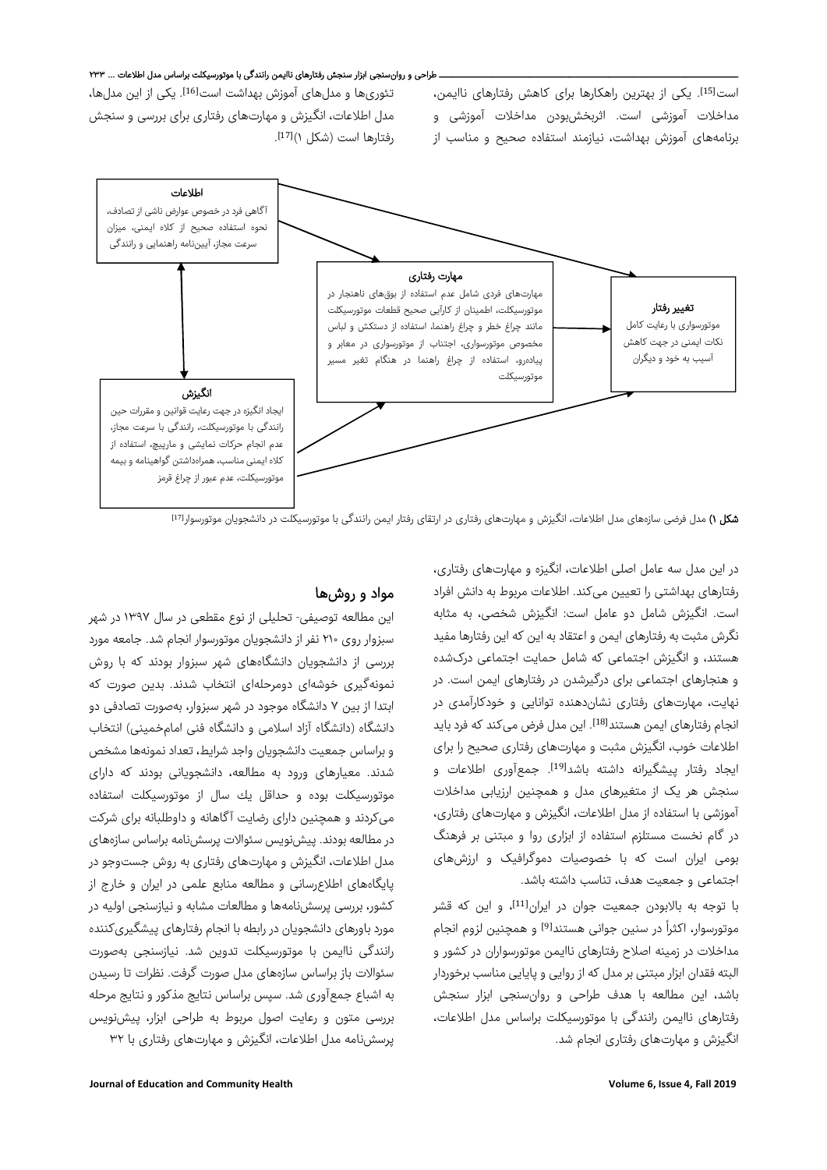## ـ طراحی و روانسنجی ابزار سنجش رفتارهای ناایمن رانندگی با موتورسیکلت براساس مدل اطلاعات ... ۲۳۳



شکل ۱) مدل فرضی سازههای مدل اطلاعات، انگیزش و مهارتهای رفتاری در ارتقای رفتار ایمن رانندگی با موتورسیکلت در دانشجویان موتورسوار<sup>[17]</sup>

در این مدل سه عامل اصلی اطلاعات، انگیزه و مهارتهای رفتاری، رفتارهای بهداشتی را تعیین میکند. اطلاعات مربوط به دانش افراد است. انگیزش شامل دو عامل است: انگیزش شخصی، به مثابه نگرش مثبت به رفتارهای ایمن و اعتقاد به این که این رفتارها مفید هستند، و انگیزش اجتماعی که شامل حمایت اجتماعی درکشده و هنجارهای اجتماعی برای درگیرشدن در رفتارهای ایمن است. در نهایت، مهارتهای رفتاری نشاندهنده توانایی و خودکارآمدی در انجام رفتارهای ایمن هستند<sup>[18]</sup>. این مدل فرض میکند که فرد باید اطلاعات خوب، انگیزش مثبت و مهارتهای رفتاری صحیح را برای ایجاد رفتار ییشگیرانه داشته باشد<sup>[19]</sup>. جمعآوری اطلاعات و سنجش هر یک از متغیرهای مدل و همچنین ارزیابی مداخلات آموزشی با استفاده از مدل اطلاعات، انگیزش و مهارتهای رفتاری، در گام نخست مستلزم استفاده از ابزاری روا و مبتنی بر فرهنگ بومی ایران است که با خصوصیات دموگرافیک و ارزشهای اجتماعی و جمعیت هدف، تناسب داشته باشد.

با توجه به بالابودن جمعیت جوان در ایران<sup>[11]</sup>، و این که قشر موتورسوار، اکثراً در سنین جوانی هستند<sup>[9]</sup> و همچنین لزوم انجام مداخلات در زمینه اصلاح رفتارهای ناایمن موتورسواران در کشور و البته فقدان ابزار مبتنی برمدل که از روایی و پایایی مناسب برخوردار باشد، این مطالعه با هدف طراحی و روانسنجی ابزار سنجش رفتارهای ناایمن رانندگی با موتورسیکلت براساس مدل اطلاعات، انگیزش و مهارتهای رفتاری انجام شد.

## مواد و روشها

این مطالعه توصیفی- تحلیلی از نوع مقطعی در سال ۱۳۹۷ در شهر سبزوار روی ۲۱۰ نفر از دانشجویان موتورسوار انجام شد. جامعه مورد بررسی از دانشجویان دانشگاههای شهر سبزوار بودند که با روش نمونهگیری خوشهای دومرحلهای انتخاب شدند. بدین صورت که ابتدا از بین ٧ دانشگاه موجود در شهر سبزوار، بهصورت تصادفی دو دانشگاه (دانشگاه آزاد اسلامی و دانشگاه فنی امامخمینی) انتخاب و براساس جمعیت دانشجویان واجد شرایط، تعداد نمونهها مشخص شدند. معیارهای ورود به مطالعه، دانشجویانی بودند که دارای موتورسیكلت بوده و حداقل یك سال از موتورسیكلت استفاده میکردند و همچنین دارای رضایت آگاهانه و داوطلبانه برای شرکت در مطالعه بودند. پیشنویس سئوالات پرسشنامه براساس سازههای مدل اطلاعات، انگیزش و مهارتهای رفتاری به روش جستوجو در پایگاههای اطلاعرسانی و مطالعه منابع علمی در ایران و خارج از کشور، بررسی پرسشنامهها و مطالعات مشابه و نیازسنجی اولیه در مورد باورهای دانشجویان در رابطه با انجام رفتارهای پیشگیریکننده رانندگی ناایمن با موتورسیکلت تدوین شد. نیازسنجی بهصورت سئوالات باز براساس سازههای مدل صورت گرفت. نظرات تا رسیدن به اشباع جمعآوری شد. سپس براساس نتایج مذکور و نتایج مرحله بررسی متون و رعایت اصول مربوط به طراحی ابزار، پیشنویس پرسشنامه مدل اطلاعات، انگیزش و مهارتهای رفتاری با ۳۲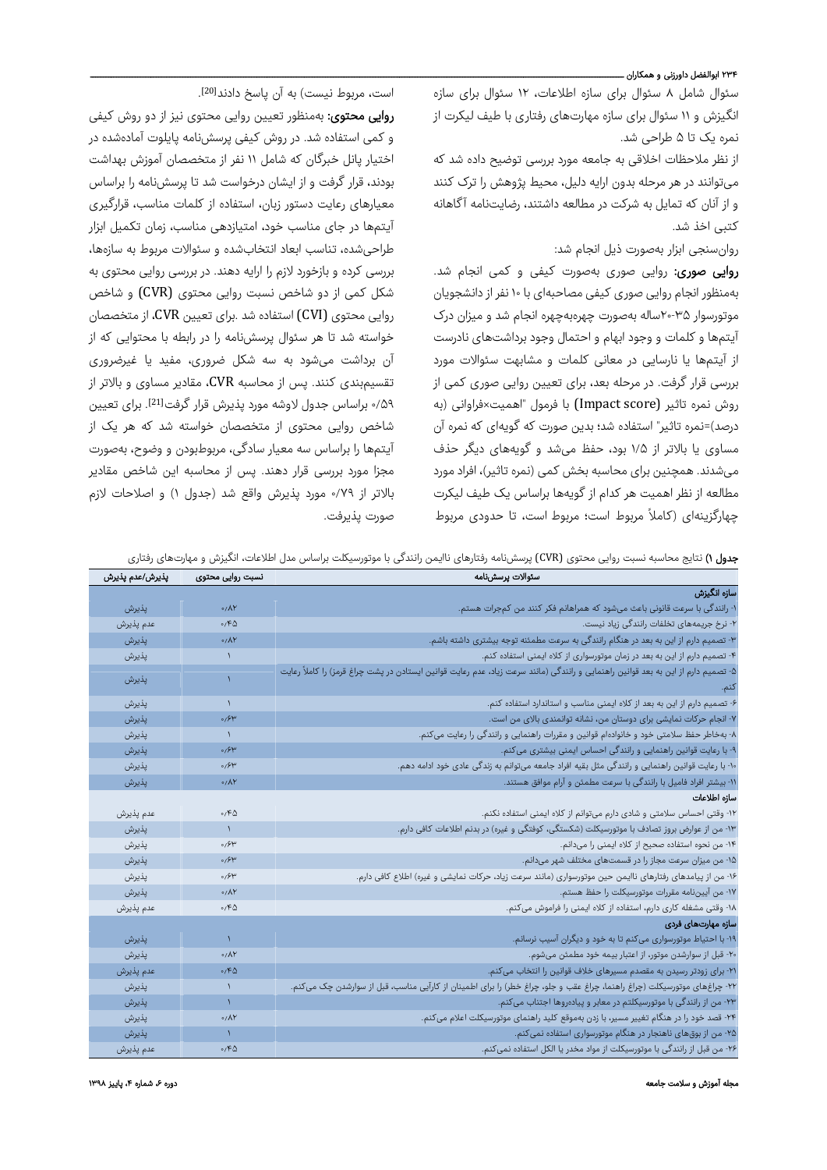## ۲۳۴ ابوالفضل داورزنی و همکاران ــ

سئوال شامل ۸ سئوال برای سازه اطلاعات، ۱۲ سئوال برای سازه انگیزش و ۱۱ سئوال برای سازه مهارتهای رفتاری با طیف لیکرت از نمره یک تا ۵ طراحی شد.

از نظر ملاحظات اخلاقی به جامعه مورد بررسی توضیح داده شد که میتوانند در هر مرحله بدون ارایه دلیل، محیط پژوهش را ترک کنند و از آنان که تمایل به شرکت در مطالعه داشتند، رضایتنامه آگاهانه کتبی اخذ شد.

روانسنجی ابزار بهصورت ذیل انجام شد:

روایی صوری: روایی صوری بهصورت کیفی و کمی انجام شد. بهمنظور انجام روایی صوری کیفی مصاحبهای با ۱۰ نفر از دانشجویان موتورسوار ۲۰-۳۵ساله بهصورت چهرهبهچهره انجام شد و میزان درک آیتمها و کلمات و وجود ابهام و احتمال وجود برداشتهای نادرست از آیتمها یا نارسایی در معانی کلمات و مشابهت سئوالات مورد بررسی قرار گرفت. در مرحله بعد، برای تعیین روایی صوری کمی از روش نمره تاثیر (score Impact (با فرمول "اهمیت×فراوانی (به درصد)=نمره تاثیر" استفاده شد؛ بدین صورت که گویهای که نمره آن مساوی یا بالاتر از ۱/۵ بود، حفظ میشد و گویههای دیگر حذف میشدند. همچنین برای محاسبه بخش کمی (نمره تاثیر)، افراد مورد مطالعه از نظر اهمیت هر کدام از گویهها براساس یک طیف لیکرت چهارگزینهای (کاملاً مربوط است؛ مربوط است، تا حدودی مربوط

. [20] است، مربوط نیست) به آن پاسخ دادند

روایی محتوی: بهمنظور تعیین روایی محتوی نیز از دو روش کیفی و کمی استفاده شد. در روش کیفی پرسشنامه پایلوت آمادهشده در اختیار پانل خبرگان که شامل ۱۱ نفر از متخصصان آموزش بهداشت بودند، قرار گرفت و از ایشان درخواست شد تا پرسشنامه را براساس معیارهای رعایت دستور زبان، استفاده از کلمات مناسب، قرارگیری آیتمها در جای مناسب خود، امتیازدهی مناسب، زمان تکمیل ابزار طراحیشده، تناسب ابعاد انتخابشده و سئوالات مربوط به سازهها، بررسی کرده و بازخورد لازم را ارایه دهند. در بررسی روایی محتوی به شکل کمی از دو شاخص نسبت روایی محتوی (CVR (و شاخص روایی محتوی (CVI (استفاده شد .برای تعیین CVR، از متخصصان خواسته شد تا هر سئوال پرسشنامه را در رابطه با محتوایی که از آن برداشت میشود به سه شکل ضروری، مفید یا غیرضروری تقسیمبندی کنند. پس از محاسبه CVR، مقادیر مساوی و بالاتر از ۰/۵۹ براساس جدول لاوشه مورد پذیرش قرار گرفت<sup>[21]</sup>. برای تعیین شاخص روایی محتوی از متخصصان خواسته شد که هر یک از آیتمها را براساس سه معیار سادگی، مربوطبودن و وضوح، بهصورت مجزا مورد بررسی قرار دهند. پس از محاسبه این شاخص مقادیر بالاتر از ۰/۷۹ مورد پذیرش واقع شد (جدول ۱) و اصلاحات لازم صورت پذیرفت.

جدول ۱) نتایج محاسبه نسبت روایی محتوی (CVR (پرسشنامه رفتارهای ناایمن رانندگی با موتورسیکلت براساس مدل اطلاعات، انگیزش و مهارتهای رفتاری

| نسبت روایی محتوی<br>سئوالات يرسشنامه                                                                                                               | پذیرش/عدم پذیرش |
|----------------------------------------------------------------------------------------------------------------------------------------------------|-----------------|
| سازه انگیزش                                                                                                                                        |                 |
| ۱- رانندگی با سرعت قانونی باعث میشود که همراهانم فکر کنند من کمجرات هستم.<br>$0/\Lambda Y$                                                         | پذيرش           |
| ۲- نرخ جریمههای تخلفات رانندگی زیاد نیست.<br>0/60                                                                                                  | عدم پذیرش       |
| ۳- تصمیم دارم از این به بعد در هنگام رانندگی به سرعت مطمئنه توجه بیشتری داشته باشم.<br>0/AY                                                        | يذيرش           |
| ۴- تصمیم دارم از این به بعد در زمان موتورسواری از کلاه ایمنی استفاده کنم.                                                                          | يذيرش           |
| ۵- تصمیم دارم از این به بعد قوانین راهنمایی و رانندگی (مانند سرعت زیاد، عدم رعایت قوانین ایستادن در پشت چراغ قرمز) را کاملأ رعایت<br>$\mathcal{L}$ | پذيرش           |
|                                                                                                                                                    |                 |
| ۶- تصمیم دارم از این به بعد از کلاه ایمنی مناسب و استاندارد استفاده کنم.<br>$\mathcal{L}$                                                          | پذيرش           |
| ۷- انجام حرکات نمایشی برای دوستان من، نشانه توانمندی بالای من است.<br>0/5                                                                          | يذيرش           |
| ۸- بهخاطر حفظ سلامتی خود و خانوادهام قوانین و مقررات راهنمایی و رانندگی را رعایت میکنم.<br>$\lambda$                                               | پذيرش           |
| ۹- با رعایت قوانین راهنمایی و رانندگی احساس ایمنی بیشتری میکنم.<br>0/5                                                                             | يذيرش           |
| ۱۰- با رعایت قوانین راهنمایی و رانندگی مثل بقیه افراد جامعه میتوانم به زندگی عادی خود ادامه دهم.<br>0/5                                            | يذيرش           |
| ١١- بیشتر افراد فامیل با رانندگی با سرعت مطمئن و آرام موافق هستند.<br>$0/\Lambda$ Y                                                                | يذيرش           |
| سازه اطلاعات                                                                                                                                       |                 |
| ۱۲- وقتی احساس سلامتی و شادی دارم میتوانم از کلاه ایمنی استفاده نکنم.<br>۶۵،۰                                                                      | عدم پذیرش       |
| ۱۳- من از عوارض بروز تصادف با موتورسیکلت (شکستگی، کوفتگی و غیره) در بدنم اطلاعات کافی دارم.<br>$\boldsymbol{\lambda}$                              | پذيرش           |
| ۱۴- من نحوه استفاده صحیح از کلاه ایمنی را میدانم.<br>0/5                                                                                           | پذيرش           |
| ۱۵- من میزان سرعت مجاز را در قسمتهای مختلف شهر میدانم.<br>0/5                                                                                      | يذيرش           |
| ۱۶- من از پیامدهای رفتارهای ناایمن حین موتورسواری (مانند سرعت زیاد، حرکات نمایشی و غیره) اطلاع کافی دارم.<br>0/5                                   | يذيرش           |
| ١٧- من آييننامه مقررات موتورسيكلت را حفظ هستم.<br>$0/\Lambda$ Y                                                                                    | يذيرش           |
| ۱۸- وقتی مشغله کاری دارم، استفاده از کلاه ایمنی را فراموش میکنم.<br>۶۵،۰                                                                           | عدم پذیرش       |
| سازه مهارتهای فردی                                                                                                                                 |                 |
| ۱۹- با احتیاط موتورسواری میکنم تا به خود و دیگران آسیب نرسانم.<br>١                                                                                | يذيرش           |
| ۲۰- قبل از سوارشدن موتور، از اعتبار بیمه خود مطمئن میشوم.<br>0/AY                                                                                  | پذيرش           |
| ۲۱- برای زودتر رسیدن به مقصدم مسیرهای خلاف قوانین را انتخاب میکنم.<br>0/60                                                                         | عدم پذیرش       |
| ۲۲- چراغهای موتورسیکلت (چراغ راهنما، چراغ عقب و جلو، چراغ خطر) را برای اطمینان از کارآیی مناسب، قبل از سوارشدن چک میکنم.<br>$\lambda$              | پذيرش           |
| ۲۳- من از رانندگی با موتورسیکلتم در معابر و پیادهروها اجتناب میکنم.<br>$\mathcal{N}$                                                               | يذيرش           |
| ۲۴- قصد خود را در هنگام تغییر مسیر، با زدن بهموقع کلید راهنمای موتورسیکلت اعلام میکنم.<br>$0/\Lambda Y$                                            | يذيرش           |
| ۲۵- من از بوق،های ناهنجار در هنگام موتورسواری استفاده نمیکنم.<br>$\mathcal{N}$                                                                     | يذيرش           |
| ۲۶- من قبل از رانندگی با موتورسیکلت از مواد مخدر یا الکل استفاده نمیکنم.<br>0/60                                                                   | عدم يذيرش       |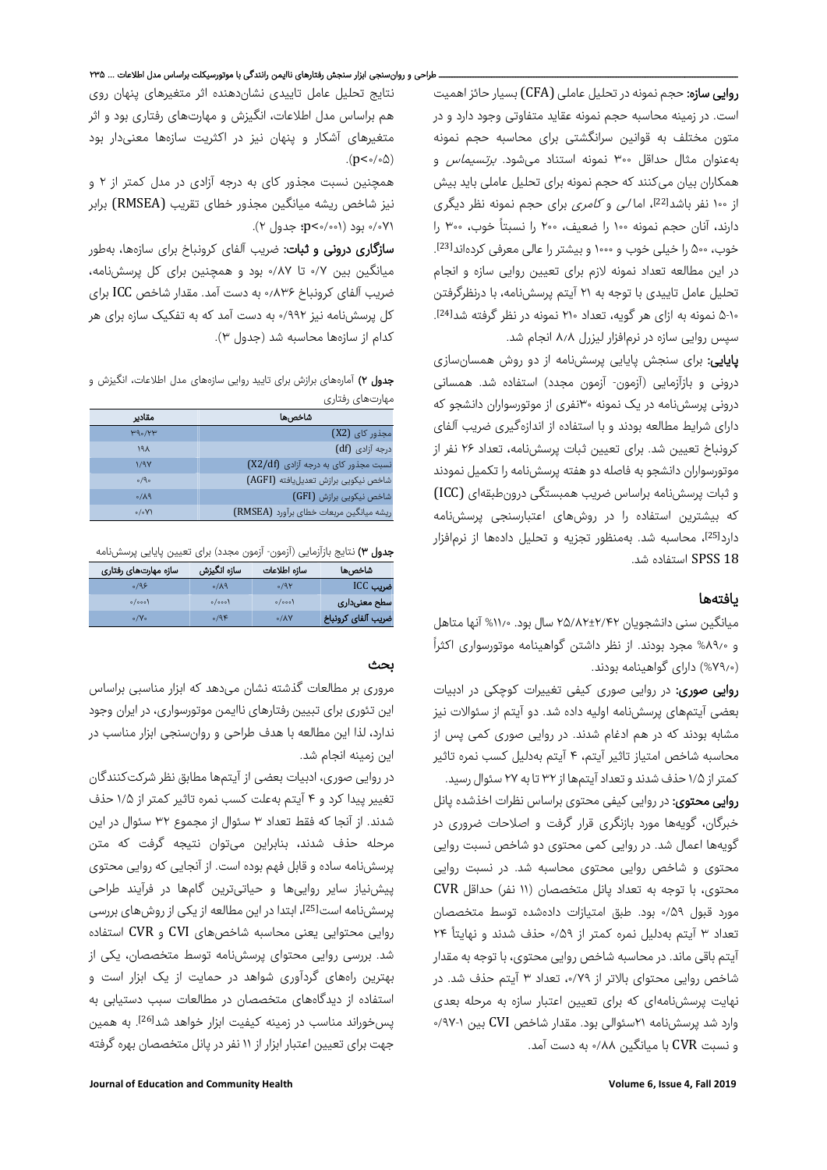روایی سازه: حجم نمونه در تحلیل عاملی (CFA) بسیار حائز اهمیت است. در زمینه محاسبه حجم نمونه عقاید متفاوتی وجود دارد و در متون مختلف به قوانین سرانگشتی برای محاسبه حجم نمونه بهعنوان مثال حداقل ۳۰۰ نمونه استناد میشود. برتسیماس و همکاران بیان میکنند که حجم نمونه برای تحلیل عاملی باید بیش از ۱۰۰ نفر باشد<sup>[22]</sup>، اما *لی و کامری* برای حجم نمونه نظر دیگری دارند، آنان حجم نمونه ۱۰۰ را ضعیف، ۲۰۰ را نسبتاً خوب، ۳۰۰ را . خوب، ۵۰۰ را خیلی خوب و ۱۰۰۰ و بیشتر را عالی معرفی کردهاند[23] در این مطالعه تعداد نمونه لازم برای تعیین روایی سازه و انجام تحلیل عامل تاییدی با توجه به ۲۱ آیتم پرسشنامه، با درنظرگرفتن . [24] ۵-۱۰ نمونه به ازای هر گویه، تعداد ۲۱۰ نمونه در نظر گرفته شد سپس روایی سازه در نرمافزار لیزرل ۸٫۸ انجام شد.

**پایایی:** برای سنجش پایایی پرسشنامه از دو روش همسانسازی درونی و بازآزمایی (آزمون- آزمون مجدد) استفاده شد. همسانی درونی پرسشنامه در یک نمونه ۳۰نفری از موتورسواران دانشجو که دارای شرایط مطالعه بودند و با استفاده از اندازهگیری ضریب آلفای کرونباخ تعیین شد. برای تعیین ثبات پرسشنامه، تعداد ۲۶ نفر از موتورسواران دانشجو به فاصله دو هفته پرسشنامه را تکمیل نمودند و ثبات پرسشنامه براساس ضریب همبستگی درونطبقهای (ICC( که بیشترین استفاده را در روشهای اعتبارسنجی پرسشنامه دارد<sup>[25]</sup>، محاسبه شد. بهمنظور تجزیه و تحلیل دادهها از نرمافزار 18 SPSS استفاده شد.

## یافتهها

میانگین سنی دانشجویان ۲۵/۸۲±۲/۴۲ سال بود. %۱۱٫۰ آنها متاهل ً و %۸۹٫۰ مجرد بودند. از نظر داشتن گواهینامه موتورسواری اکثرا (%۷۹٫۰) دارای گواهینامه بودند.

روایی صوری: در روایی صوری کیفی تغییرات کوچکی در ادبیات بعضی آیتمهای پرسشنامه اولیه داده شد. دو آیتم از سئوالات نیز مشابه بودند که در هم ادغام شدند. در روایی صوری کمی پس از محاسبه شاخص امتیاز تاثیر آیتم، ۴ آیتم بهدلیل کسب نمره تاثیر کمتر از ۱/۵ حذف شدند و تعداد آیتمها از ۳۲ تا به ۲۷ سئوال رسید.

روایی محتوی: در روایی کیفی محتوی براساس نظرات اخذشده پانل خبرگان، گویهها مورد بازنگری قرار گرفت و اصلاحات ضروری در گویهها اعمال شد. در روایی کمی محتوی دو شاخص نسبت روایی محتوی و شاخص روایی محتوی محاسبه شد. در نسبت روایی محتوی، با توجه به تعداد پانل متخصصان (۱۱ نفر) حداقل CVR مورد قبول ۰/۵۹ بود. طبق امتیازات دادهشده توسط متخصصان حذف شدند و نهایتا ۲۴ ً تعداد ۳ آیتم بهدلیل نمره کمتر از ۰/۵۹ آیتم باقی ماند. در محاسبه شاخص روایی محتوی، با توجه به مقدار شاخص روایی محتوای بالاتر از ،۰/۷۹ تعداد ۳ آیتم حذف شد. در نهایت پرسشنامهای که برای تعیین اعتبار سازه به مرحله بعدی وارد شد پرسشنامه ۲۱سئوالی بود. مقدار شاخص CVI بین ۰/۹۷-۱ و نسبت CVR با میانگین ۰/۸۸ به دست آمد.

نتایج تحلیل عامل تاییدی نشاندهنده اثر متغیرهای پنهان روی هم براساس مدل اطلاعات، انگیزش و مهارتهای رفتاری بود و اثر متغیرهای آشکار و پنهان نیز در اکثریت سازهها معنیدار بود .( $p<\circ/\circ\Delta$ )

همچنین نسبت مجذور کای به درجه آزادی در مدل کمتر از ۲ و نیز شاخص ریشه میانگین مجذور خطای تقریب (RMSEA (برابر ۰/۰۷۱ بود (۰/۰۰۱>p؛ جدول ۲).

**سازگاری درونی و ثبات:** ضریب آلفای کرونباخ برای سازهها، بهطور میانگین بین ۰/۷ تا ۰/۸۷ بود و همچنین برای کل پرسشنامه، ضریب آلفای کرونباخ ۰٫۸۳۶ به دست آمد. مقدار شاخص ICC برای کل پرسشنامه نیز ۰/۹۹۲ به دست آمد که به تفکیک سازه برای هر کدام از سازهها محاسبه شد (جدول ۳).

جدول ۲) آمارههای برازش برای تایید روایی سازههای مدل اطلاعات، انگیزش و مهارتهای رفتاری

| مقادير             | شاخصها                                  |
|--------------------|-----------------------------------------|
| <b>M90/7W</b>      | مجذور کای (X2)                          |
| ۱۹۸                | درجه آزادی (df)                         |
| 1/97               | نسبت مجذور کای به درجه آزادی (X2/df)    |
| $\circ$ /9 $\circ$ | شاخص نیکویی برازش تعدیل،یافته (AGFI)    |
| $\delta/\lambda$ ۹ | شاخص نیکویی برازش (GFI)                 |
| 0/0                | ریشه میانگین مربعات خطای برآورد (RMSEA) |

جدول ٣) نتایج بازآزمایی (آزمون- آزمون مجدد) برای تعیین پایایی پرسشنامه

| شاخص ها            | سازه اطلاعات | سازه انگیزش  | سازه مهارتهای رفتاری |  |
|--------------------|--------------|--------------|----------------------|--|
| ضريب ICC           | 0/91         | $P(\lambda)$ | 0/95                 |  |
| سطح معنىدارى       | $o/$ ooo)    | o/oo         | o/oo                 |  |
| ضريب آلفاى كرونباخ | 0/AY         | 0/9F         | $\circ$ /Y $\circ$   |  |

## بحث

مروری بر مطالعات گذشته نشان میدهد که ابزار مناسبی براساس این تئوری برای تبیین رفتارهای ناایمن موتورسواری، در ایران وجود ندارد، لذا این مطالعه با هدف طراحی و روانسنجی ابزار مناسب در این زمینه انجام شد.

در روایی صوری، ادبیات بعضی از آیتمها مطابق نظر شرکتکنندگان تغییر پیدا کرد و ۴ آیتم بهعلت کسب نمره تاثیر کمتر از ۱/۵ حذف شدند. از آنجا که فقط تعداد ۳ سئوال از مجموع ۳۲ سئوال در این مرحله حذف شدند، بنابراین میتوان نتیجه گرفت که متن پرسشنامه ساده و قابل فهم بوده است. از آنجایی که روایی محتوی پیشنیاز سایر رواییها و حیاتیترین گامها در فرآیند طراحی پرسشنامه است<sup>[25]</sup>، ابتدا در این مطالعه از یکی از روشهای بررسی روایی محتوایی یعنی محاسبه شاخصهای CVI و CVR استفاده شد. بررسی روایی محتوای پرسشنامه توسط متخصصان، یکی از بهترین راههای گردآوری شواهد در حمایت از یک ابزار است و استفاده از دیدگاههای متخصصان در مطالعات سبب دستیابی به پسخوراند مناسب در زمینه کیفیت ابزار خواهد شد<sup>[26]</sup>. به همین جهت برای تعیین اعتبار ابزار از ۱۱ نفر در پانل متخصصان بهره گرفته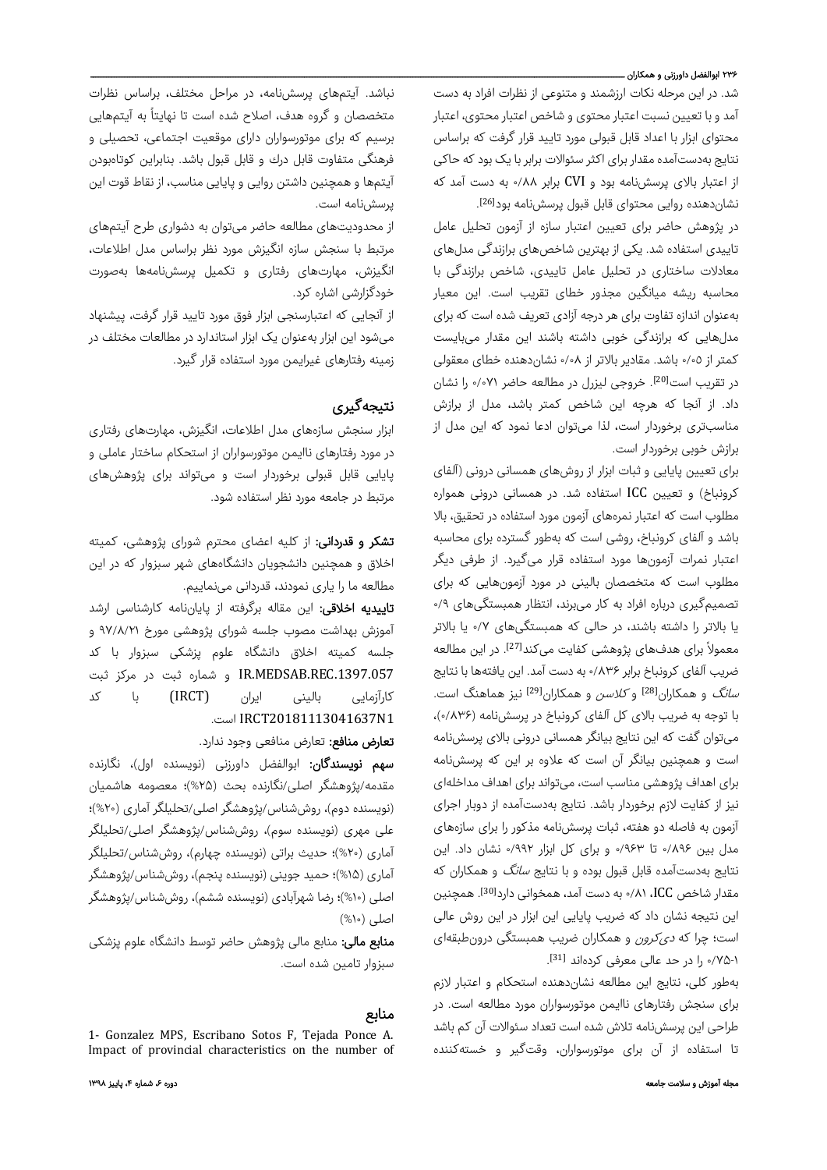## ۲۳۶ ابوالفضل داورزنی و همکاران ــــ

شد. در این مرحله نکات ارزشمند و متنوعی از نظرات افراد به دست آمد و با تعیین نسبت اعتبار محتوی و شاخص اعتبار محتوی، اعتبار محتوای ابزار با اعداد قابل قبولی مورد تایید قرار گرفت که براساس نتایج بهدستآمده مقدار برای اکثر سئوالات برابر با یک بود که حاکی از اعتبار بالای پرسشنامه بود و CVI برابر ۰/۸۸ به دست آمد که نشاندهنده روایی محتوای قابل قبول پرسشنامه بود<sup>[26]</sup>.

در پژوهش حاضر برای تعیین اعتبار سازه از آزمون تحلیل عامل تاییدی استفاده شد. یکی از بهترین شاخصهای برازندگی مدلهای معادلات ساختاری در تحلیل عامل تاییدی، شاخص برازندگی با محاسبه ریشه میانگین مجذور خطای تقریب است. این معیار بهعنوان اندازه تفاوت برای هر درجه آزادی تعریف شده است که برای مدلهایی که برازندگی خوبی داشته باشند این مقدار میبایست کمتر از ٠/٠٥ باشد. مقادیر بالاتر از ٠/٠٨ نشاندهنده خطای معقولی در تقریب است<sup>[20]</sup>. خروجی لیزرل در مطالعه حاضر ٠٧١ را نشان داد. از آنجا که هرچه این شاخص کمتر باشد، مدل از برازش مناسبتری برخوردار است، لذا میتوان ادعا نمود که این مدل از برازش خوبی برخوردار است.

برای تعیین پایایی و ثبات ابزار از روشهای همسانی درونی (آلفای کرونباخ) و تعیین ICC استفاده شد. در همسانی درونی همواره مطلوب است که اعتبار نمرههای آزمون مورد استفاده در تحقیق، بالا باشد و آلفای کرونباخ، روشی است که بهطور گسترده برای محاسبه اعتبار نمرات آزمونها مورد استفاده قرار میگیرد. از طرفی دیگر مطلوب است که متخصصان بالینی در مورد آزمونهایی که برای تصمیمگیری درباره افراد به کار میبرند، انتظار همبستگیهای ۰/۹ یا بالاتر را داشته باشند، در حالی که همبستگیهای ۰/۷ یا بالاتر معمولاً برای هدفهای پژوهشی کفایت میکند<sup>[27]</sup>. در این مطالعه ضریب آلفای کرونباخ برابر ۰/۸۳۶ به دست آمد. این یافتهها با نتایج سانگ و همکاران[28] و کلاسن و همکاران[29] نیز هماهنگ است. با توجه به ضریب بالای کل آلفای کرونباخ در پرسشنامه (۰/۸۳۶)، میتوان گفت که این نتایج بیانگر همسانی درونی بالای پرسشنامه است و همچنین بیانگر آن است که علاوه بر این که پرسشنامه برای اهداف پژوهشی مناسب است، میتواند برای اهداف مداخلهای نیز از کفایت لازم برخوردار باشد. نتایج بهدستآمده از دوبار اجرای آزمون به فاصله دو هفته، ثبات پرسشنامه مذکور را برای سازههای مدل بین ۰/۸۹۶ تا ۰/۹۶۳ و برای کل ابزار ۰/۹۹۲ نشان داد. این نتایج بهدستآمده قابل قبول بوده و با نتایج *سانگ* و همکاران که مقدار شاخص ICC، ۸۱/۰ به دست آمد، همخوانی دارد<sup>[30]</sup>. همچنین این نتیجه نشان داد که ضریب پایایی این ابزار در این روش عالی است؛ چرا که *دی کرون* و همکاران ضریب همبستگی درونطبقهای . [31] ۰/۷۵-۱ را در حد عالی معرفی کردهاند

بهطور کلی، نتایج این مطالعه نشاندهنده استحکام و اعتبار لازم برای سنجش رفتارهای ناایمن موتورسواران مورد مطالعه است. در طراحی این پرسشنامه تلاش شده است تعداد سئوالات آن کم باشد تا استفاده از آن برای موتورسواران، وقتگیر و خستهکننده

نباشد. آیتمهای پرسشنامه، در مراحل مختلف، براساس نظرات متخصصان و گروه هدف، اصلاح شده است تا نهایتاً به آیتمهایی برسیم که برای موتورسواران دارای موقعیت اجتماعی، تحصیلی و فرهنگی متفاوت قابل درك و قابل قبول باشد. بنابراین کوتاهبودن آیتمها و همچنین داشتن روایی و پایایی مناسب، از نقاط قوت این پرسشنامه است.

از محدودیتهای مطالعه حاضر میتوان به دشواری طرح آیتمهای مرتبط با سنجش سازه انگیزش مورد نظر براساس مدل اطلاعات، انگیزش، مهارتهای رفتاری و تکمیل پرسشنامهها بهصورت خودگزارشی اشاره کرد.

از آنجایی که اعتبارسنجی ابزار فوق مورد تایید قرار گرفت، پیشنهاد میشود این ابزار بهعنوان یک ابزار استاندارد در مطالعات مختلف در زمینه رفتارهای غیرایمن مورد استفاده قرار گیرد.

## نتیجهگیری

ابزار سنجش سازههای مدل اطلاعات، انگیزش، مهارتهای رفتاری در مورد رفتارهای ناایمن موتورسواران از استحکام ساختار عاملی و پایایی قابل قبولی برخوردار است و میتواند برای پژوهشهای مرتبط در جامعه مورد نظر استفاده شود.

**تشکر و قدردانی:** از کلیه اعضای محترم شورای پژوهشی، کمیته اخلاق و همچنین دانشجویان دانشگاههای شهر سبزوار که در این مطالعه ما را یاری نمودند، قدردانی مینماییم.

تاییدیه اخلاقی: این مقاله برگرفته از پایاننامه کارشناسی ارشد آموزش بهداشت مصوب جلسه شورای پژوهشی مورخ ۹۷/۸/۲۱ و جلسه کمیته اخلاق دانشگاه علوم پزشکی سبزوار با کد .1397.057REC.MEDSAB.IR و شماره ثبت در مرکز ثبت کارآزمایی بالینی ایران (IRCT) با کد .است IRCT20181113041637N1

**تعارض منافع:** تعارض منافعی وجود ندارد.

**سهم نویسندگان:** ابوالفضل داورزنی (نویسنده اول)، نگارنده مقدمه/پژوهشگر اصلی/نگارنده بحث (%۲۵)؛ معصومه هاشمیان (نویسنده دوم)، روششناس/پژوهشگر اصلی/تحلیلگر آماری (%۲۰)؛ علی مهری (نویسنده سوم)، روششناس/پژوهشگر اصلی/تحلیلگر آماری (%۲۰)؛ حدیث براتی (نویسنده چهارم)، روششناس/تحلیلگر آماری (۱۵%)؛ حمید جوینی (نویسنده پنجم)، روششناس/پژوهشگر اصلی (%۱۰)؛ رضا شهرآبادی (نویسنده ششم)، روششناس/پژوهشگر اصلی (%۱۰)

**منابع مالی:** منابع مالی پژوهش حاضر توسط دانشگاه علوم پزشكی سبزوار تامین شده است.

## منابع

<sup>1-</sup> Gonzalez MPS, Escribano Sotos F, Tejada Ponce A. Impact of provincial characteristics on the number of